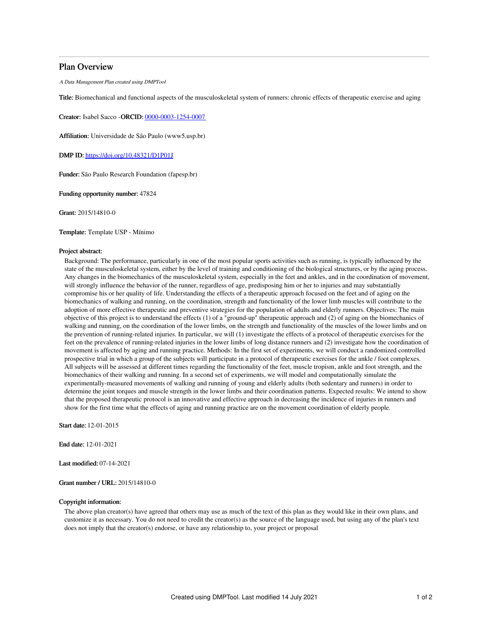## Plan Overview

A Data Management Plan created using DMPTool

Title: Biomechanical and functional aspects of the musculoskeletal system of runners: chronic effects of therapeutic exercise and aging

Creator: Isabel Sacco -ORCID: [0000-0003-1254-0007](https://orcid.org/0000-0003-1254-0007)

Affiliation: Universidade de São Paulo (www5.usp.br)

DMP ID: <https://doi.org/10.48321/D1P01J>

Funder: São Paulo Research Foundation (fapesp.br)

Funding opportunity number: 47824

Grant: 2015/14810-0

Template: Template USP - Mínimo

## Project abstract:

Background: The performance, particularly in one of the most popular sports activities such as running, is typically influenced by the state of the musculoskeletal system, either by the level of training and conditioning of the biological structures, or by the aging process. Any changes in the biomechanics of the musculoskeletal system, especially in the feet and ankles, and in the coordination of movement, will strongly influence the behavior of the runner, regardless of age, predisposing him or her to injuries and may substantially compromise his or her quality of life. Understanding the effects of a therapeutic approach focused on the feet and of aging on the biomechanics of walking and running, on the coordination, strength and functionality of the lower limb muscles will contribute to the adoption of more effective therapeutic and preventive strategies for the population of adults and elderly runners. Objectives: The main objective of this project is to understand the effects (1) of a "ground-up" therapeutic approach and (2) of aging on the biomechanics of walking and running, on the coordination of the lower limbs, on the strength and functionality of the muscles of the lower limbs and on the prevention of running-related injuries. In particular, we will (1) investigate the effects of a protocol of therapeutic exercises for the feet on the prevalence of running-related injuries in the lower limbs of long distance runners and (2) investigate how the coordination of movement is affected by aging and running practice. Methods: In the first set of experiments, we will conduct a randomized controlled prospective trial in which a group of the subjects will participate in a protocol of therapeutic exercises for the ankle / foot complexes. All subjects will be assessed at different times regarding the functionality of the feet, muscle tropism, ankle and foot strength, and the biomechanics of their walking and running. In a second set of experiments, we will model and computationally simulate the experimentally-measured movements of walking and running of young and elderly adults (both sedentary and runners) in order to determine the joint torques and muscle strength in the lower limbs and their coordination patterns. Expected results: We intend to show that the proposed therapeutic protocol is an innovative and effective approach in decreasing the incidence of injuries in runners and show for the first time what the effects of aging and running practice are on the movement coordination of elderly people.

Start date: 12-01-2015

End date: 12-01-2021

Last modified: 07-14-2021

Grant number / URL: 2015/14810-0

## Copyright information:

The above plan creator(s) have agreed that others may use as much of the text of this plan as they would like in their own plans, and customize it as necessary. You do not need to credit the creator(s) as the source of the language used, but using any of the plan's text does not imply that the creator(s) endorse, or have any relationship to, your project or proposal